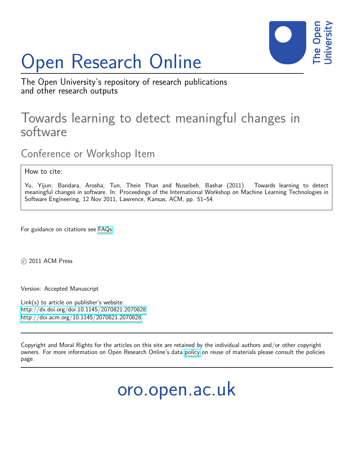# Open Research Online



The Open University's repository of research publications and other research outputs

## Towards learning to detect meaningful changes in software

Conference or Workshop Item

#### How to cite:

Yu, Yijun; Bandara, Arosha; Tun, Thein Than and Nuseibeh, Bashar (2011). Towards learning to detect meaningful changes in software. In: Proceedings of the International Workshop on Machine Learning Technologies in Software Engineering, 12 Nov 2011, Lawrence, Kansas, ACM, pp. 51–54.

For guidance on citations see [FAQs.](http://oro.open.ac.uk/help/helpfaq.html)

 $(c)$  2011 ACM Press

Version: Accepted Manuscript

Link(s) to article on publisher's website: <http://dx.doi.org/doi:10.1145/2070821.2070828> <http://doi.acm.org/10.1145/2070821.2070828>

Copyright and Moral Rights for the articles on this site are retained by the individual authors and/or other copyright owners. For more information on Open Research Online's data [policy](http://oro.open.ac.uk/policies.html) on reuse of materials please consult the policies page.

oro.open.ac.uk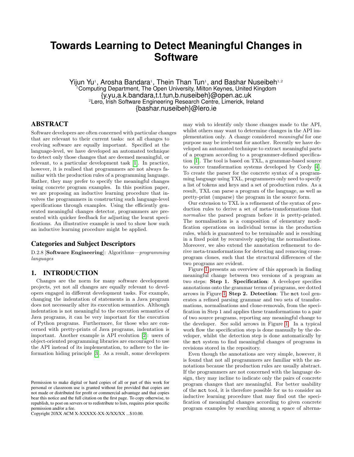### **Towards Learning to Detect Meaningful Changes in Software**

Yijun Yu<sup>1</sup>, Arosha Bandara<sup>1</sup>, Thein Than Tun<sup>1</sup>, and Bashar Nuseibeh<sup>1,2</sup> <sup>1</sup>Computing Department, The Open University, Milton Keynes, United Kingdom {y.yu,a.k.bandara,t.t.tun,b.nuseibeh}@open.ac.uk <sup>2</sup>Lero, Irish Software Engineering Research Centre, Limerick, Ireland {bashar.nuseibeh}@lero.ie

#### ABSTRACT

Software developers are often concerned with particular changes that are relevant to their current tasks: not all changes to evolving software are equally important. Specified at the language-level, we have developed an automated technique to detect only those changes that are deemed meaningful, or relevant, to a particular development task [\[1\]](#page-4-0). In practice, however, it is realised that programmers are not always familiar with the production rules of a programming language. Rather, they may prefer to specify the meaningful changes using concrete program examples. In this position paper, we are proposing an inductive learning procedure that involves the programmers in constructing such language-level specifications through examples. Using the efficiently generated meaningful changes detector, programmers are presented with quicker feedback for adjusting the learnt specifications. An illustrative example is used to show how such an inductive learning procedure might be applied.

#### Categories and Subject Descriptors

D.2.8 [Software Engineering]: Algorithms—programming languages

#### 1. INTRODUCTION

Changes are the norm for many software development projects, yet not all changes are equally relevant to developers engaged in different development tasks. For example, changing the indentation of statements in a Java program does not necessarily alter its execution semantics. Although indentation is not meaningful to the execution semantics of Java programs, it can be very important for the execution of Python programs. Furthermore, for those who are concerned with pretty-prints of Java programs, indentation is important. Another example is API evolution [\[2\]](#page-4-1): users of object-oriented programming libraries are encouraged to use the API instead of its implementation, to adhere to the information hiding principle [\[3\]](#page-4-2). As a result, some developers

Copyright 20XX ACM X-XXXXX-XX-X/XX/XX ...\$10.00.

may wish to identify only those changes made to the API, whilst others may want to determine changes in the API implementation only. A change considered meaningful for one purpose may be irrelevant for another. Recently we have developed an automated technique to extract meaningful parts of a program according to a programmer-defined specification [\[1\]](#page-4-0). The tool is based on TXL, a grammar-based source to source transformation systems developed by Cordy [\[4\]](#page-4-3). To create the parser for the concrete syntax of a programming language using TXL, programmers only need to specify a list of tokens and keys and a set of production rules. As a result, TXL can parse a program of the language, as well as pretty-print (unparse) the program in the source form.

Our extension to TXL is a refinement of the syntax of production rules to derive a set of meta-transformations that normalise the parsed program before it is pretty-printed. The normalisation is a composition of elementary modification operations on individual terms in the production rules, which is guaranteed to be terminable and is resulting in a fixed point by recursively applying the normalisations. Moreover, we also extend the annotation refinement to derive meta-transformations for detecting and removing crossprogram clones, such that the structural differences of the two programs are evident.

Figure [1](#page-2-0) presents an overview of this approach in finding meaningful change between two versions of a program as two steps: Step 1. Specification: A developer specifies annotations onto the grammar terms of programs, see dotted arrows in Figure [1;](#page-2-0) Step 2. Detection: The mct tool generates a refined parsing grammar and two sets of transformations, normalisations and clone-removals, from the specification in Step 1 and applies these transformations to a pair of two source programs, reporting any meaningful change to the developer. See solid arrows in Figure [1.](#page-2-0) In a typical work flow the specification step is done manually by the developer, whilst the detection step is done automatically by the mct system to find meaningful changes of programs in revisions stored in the repository.

Even though the annotations are very simple, however, it is found that not all programmers are familiar with the annotations because the production rules are usually abstract. If the programmers are not concerned with the language design, they may incline to indicate only the pairs of concrete program changes that are meaningful. For better usability of the mct tool, it is therefore possible for us to consider an inductive learning procedure that may find out the specification of meaningful changes according to given concrete program examples by searching among a space of alterna-

Permission to make digital or hard copies of all or part of this work for personal or classroom use is granted without fee provided that copies are not made or distributed for profit or commercial advantage and that copies bear this notice and the full citation on the first page. To copy otherwise, to republish, to post on servers or to redistribute to lists, requires prior specific permission and/or a fee.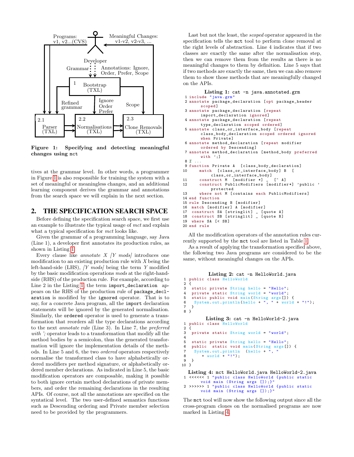

<span id="page-2-0"></span>Figure 1: Specifying and detecting meaningful changes using mct

tives at the grammar level. In other words, a programmer in Figure [1](#page-2-0) is also responsible for training the system with a set of meaningful or meaningless changes, and an additional learning component derives the grammar and annotations from the search space we will explain in the next section.

#### 2. THE SPECIFICATION SEARCH SPACE

Before defining the specification search space, we first use an example to illustrate the typical usage of mct and explain what a typical specification for mct looks like.

Given the grammar of a programming language, say Java (Line 1), a developer first annotates its production rules, as shown in Listing [1.](#page-2-1)

Every clause like *annotate X |Y mods* introduces one modification to an existing production rule with X being the left-hand-side (LHS),  $\left|Y\right\rangle$  mods) being the term Y modified by the basic modification operations mods at the right-handside (RHS) of the production rule. For example, according to Line 2 in the Listing [1,](#page-2-1) the term import\_declaration appears on the RHS of the production rule of package\_declaration is modified by the ignored operator. That is to say, for a concrete Java program, all the import declaration statements will be ignored by the generated normalisation. Similarly, the ordered operator is used to generate a transformation that reorders all the type declarations according to the next annotate rule (Line 3). In Line 7, the preferred with '; operator leads to a transformation that modify all the method bodies by a semicolon, thus the generated transformation will ignore the implementation details of the methods. In Line 5 and 6, the two ordered operators respectively normalise the transformed class to have alphabetically ordered modifiers per method signature, or alphabetically ordered member declarations. As indicated in Line 5, the basic modification operators are composable, making it possible to both ignore certain method declarations of private members, and order the remaining declarations in the resulting APIs. Of course, not all the annotations are specified on the syntatical level. The two user-defined semantics functions such as Descending ordering and Private member selection need to be provided by the programmers.

Last but not the least, the scoped operator appeared in the specification tells the mct tool to perform clone removal at the right levels of abstraction. Line 4 indicates that if two classes are exactly the same after the normalisation step, then we can remove them from the results as there is no meaningful changes to them by definition. Line 5 says that if two methods are exactly the same, then we can also remove them to show those methods that are meaningfully changed on the APIs.

```
Listing 1: cat -n java.annotated.grm
 1 include "java.grm
 2 annotate package_declaration [ opt package_header
        scoped]
 3 annotate package_declaration [ repeat
        import_declaration ignored]
 4 annotate package_declaration [ repeat
        type_declaration scoped ordered ]
 5 annotate class_or_interface_body [ repeat
        class_body_declaration scoped ordered ignored
        when Private]
 6 annotate method_declaration [ repeat modifier
        ordered by Descending]
 7 annotate method_declaration [ method_body preferred
        with ';]
 8 % ...
9 function Private A [class_body_declaration]<br>10 match [class or interface body] B [
       match [ class_or_interface_body ] B [
            class_or_interface_body]<br>truct M [modifier *] _ [^ A]
11 construct M [modifier *]<br>12 construct PublicModifiers
       12 construct PublicModifiers [ modifier *] ' public '
            protected
13 where not M [ contains each PublicModifiers]
14 end function
15 rule Descending B [modifier]<br>16 match [modifier] A [modifie
  match [modifier] A [modifier]
17 construct SA [stringlit] _ [quote A]<br>18 construct SB [stringlit] _ [quote B]
   construct SB [stringlit] _ [quote B]
19 where SA [< SB]
20 end rule
```
All the modification operators of the annotation rules currently supported by the mct tool are listed in Table [1.](#page-3-0)

As a result of applying the transformation specified above, the following two Java programs are considered to be the same, without meaningful changes on the APIs.

```
Listing 2: cat -n HelloWorld.java
1 public class HelloWorld
\frac{2}{3} {
    .<br>static private String hello = "Hello";
4 private static String world = " world ";
 5 static public void main ( String args []) {
6 System .out . println ( hello + ", " + world + "!");
7 }
8 }
            Listing 3: cat -n HelloWorld-2.java
1 public class HelloWorld
\frac{2}{3}private static String world = "world";
\frac{4}{5}5 static private String hello = " Hello ";
6 public static void main (\frac{1}{10} args []) {<br>7 System.out.println (hello + ". "
7 System out println (hello + \frac{1}{2}, \frac{1}{2} + \frac{1}{2} + \frac{1}{2});
8 + world + "!");<br>9 }
    9 }
10 }
  Listing 4: mct HelloWorld.java HelloWorld-2.java
 1 <<<<<< 1 " public class HelloWorld { public static
         void main (String args []); }'
```

```
2 >>>>>> 1 " public class HelloWorld { public static
       void main ( String args []) ;}"
```
The mct tool will now show the following output since all the cross-program clones on the normalised programs are now marked in Listing [4.](#page-2-2)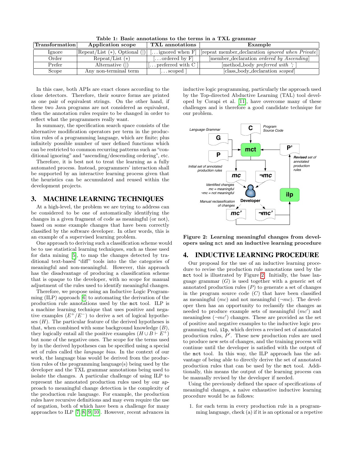| Transformation | Application scope                   | TXL annotations                                        | Example                                                                                          |
|----------------|-------------------------------------|--------------------------------------------------------|--------------------------------------------------------------------------------------------------|
| Ignore         | $ Repeat/List (*)$ , Optional $( )$ |                                                        | $\left[\ldots\right]$ ignored when F       repeat member_declaration <i>ignored when Private</i> |
| Order          | $Repeat/List (*)$                   | [ordered by F]                                         | [member_declaration <i>ordered by Ascending</i> ]                                                |
| Prefer         | Alternative ()                      | $\left[\ldots\right]$ preferred with C $\left[\right]$ | [method_body preferred with ';                                                                   |
| Scope          | Any non-terminal term               | $\dots$ scoped                                         | [class_body_declaration <i>scoped</i> ]                                                          |

<span id="page-3-0"></span>Table 1: Basic annotations to the terms in a TXL grammar

In this case, both APIs are exact clones according to the clone detectors. Therefore, their source forms are printed as one pair of equivalent strings. On the other hand, if these two Java programs are not considered as equivalent, then the annotation rules require to be changed in order to reflect what the programmers really want.

In summary, the specification search space consists of the alternative modification operators per term in the production rules of a programming language, which are finite; plus infinitely possible number of user defined functions which can be restricted to common recurring patterns such as "conditional ignoring" and "ascending/descending ordering", etc.

Therefore, it is best not to treat the learning as a fully automated process. Instead, programmers' interaction shall be supported by an interactive learning process given that the heuristics can be accumulated and reused within the development projects.

#### 3. MACHINE LEARNING TECHNIQUES

At a high-level, the problem we are trying to address can be considered to be one of automatically identifying the changes in a given fragment of code as meaningful (or not), based on some example changes that have been correctly classified by the software developer. In other words, this is an example of a supervised learning problem.

One approach to deriving such a classification scheme would be to use statistical learning techniques, such as those used for data mining [\[5\]](#page-4-4), to map the changes detected by traditional text-based "diff" tools into the the categories of meaningful and non-meaningful. However, this approach has the disadvantage of producing a classification scheme that is opaque to the developer, with no scope for manual adjustment of the rules used to identify meaningful changes.

Therefore, we propose using an Inductive Logic Programming (ILP) approach [\[6\]](#page-4-5) to automating the derivation of the production rule annotations used by the mct tool. ILP is a machine learning technique that uses positive and negative examples  $(E^+/E^-)$  to derive a set of logical hypotheses  $(H)$ . The particular feature of the derived hypotheses is that, when combined with some background knowledge  $(B)$ , they logically entail all the positive examples  $(H \cup B \vdash E^+)$ but none of the negative ones. The scope for the terms used by in the derived hypotheses can be specified using a special set of rules called the language bias. In the context of our work, the language bias would be derived from the production rules of the programming language(s) being used by the developer and the TXL grammar annotations being used to isolate the changes. A particular challenge of using ILP to represent the annotated production rules used by our approach to meaningful change detection is the complexity of the production rule language. For example, the production rules have recursive definitions and may even require the use of negation, both of which have been a challenge for many approaches to ILP [\[7,](#page-4-6) [8,](#page-4-7) [9,](#page-4-8) [10\]](#page-4-9). However, recent advances in inductive logic programming, particularly the approach used by the Top-directed Abductive Learning (TAL) tool developed by Corapi et al. [\[11\]](#page-4-10), have overcome many of these challenges and is therefore a good candidate technique for our problem.



<span id="page-3-1"></span>Figure 2: Learning meaningful changes from developers using mct and an inductive learning procedure

#### 4. INDUCTIVE LEARNING PROCEDURE

Our proposal for the use of an inductive learning procedure to revise the production rule annotations used by the mct tool is illustrated by Figure [2.](#page-3-1) Initially, the base language grammar  $(G)$  is used together with a generic set of annotated production rules  $(P)$  to generate a set of changes in the program source code  $(C)$  that have been classified as meaningful  $(mc)$  and not meaningful  $(\neg mc)$ . The developer then has an opportunity to reclassify the changes as needed to produce example sets of meaningful  $(mc')$  and meaningless  $(\neg mc')$  changes. These are provided as the set of positive and negative examples to the inductive logic programming tool, ilp, which derives a revised set of annotated production rules,  $P'$ . These new production rules are used to produce new sets of changes, and the training process will continue until the developer is satisfied with the output of the mct tool. In this way, the ILP approach has the advantage of being able to directly derive the set of annotated production rules that can be used by the mct tool. Additionally, this means the output of the learning process can be manually revised by the developer if needed.

Using the previously defined the space of specifications of meaningful changes, a naive exhaustive inductive learning procedure would be as follows:

1. for each term in every production rule in a programming language, check (a) if it is an optional or a repetive